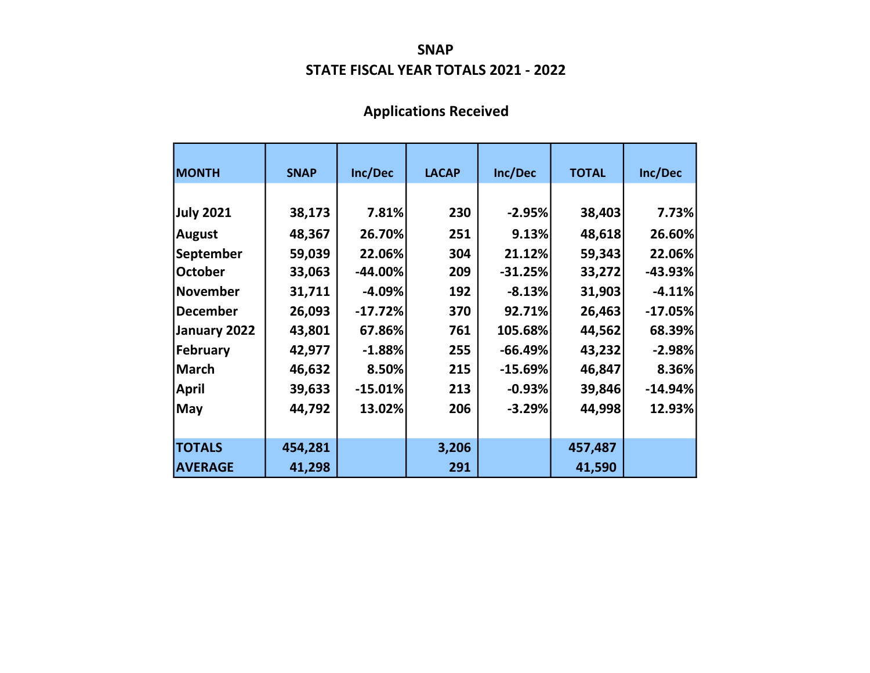#### SNAP STATE FISCAL YEAR TOTALS 2021 - 2022

# Applications Received

| <b>MONTH</b>     | <b>SNAP</b> | Inc/Dec   | <b>LACAP</b> | Inc/Dec   | <b>TOTAL</b> | Inc/Dec   |
|------------------|-------------|-----------|--------------|-----------|--------------|-----------|
|                  |             |           |              |           |              |           |
| <b>July 2021</b> | 38,173      | 7.81%     | 230          | $-2.95%$  | 38,403       | 7.73%     |
| <b>August</b>    | 48,367      | 26.70%    | 251          | 9.13%     | 48,618       | 26.60%    |
| September        | 59,039      | 22.06%    | 304          | 21.12%    | 59,343       | 22.06%    |
| <b>October</b>   | 33,063      | $-44.00%$ | 209          | $-31.25%$ | 33,272       | $-43.93%$ |
| November         | 31,711      | $-4.09%$  | 192          | $-8.13%$  | 31,903       | $-4.11%$  |
| December         | 26,093      | $-17.72%$ | 370          | 92.71%    | 26,463       | $-17.05%$ |
| January 2022     | 43,801      | 67.86%    | 761          | 105.68%   | 44,562       | 68.39%    |
| February         | 42,977      | $-1.88%$  | 255          | $-66.49%$ | 43,232       | $-2.98%$  |
| <b>March</b>     | 46,632      | 8.50%     | 215          | $-15.69%$ | 46,847       | 8.36%     |
| <b>April</b>     | 39,633      | $-15.01%$ | 213          | $-0.93%$  | 39,846       | $-14.94%$ |
| <b>May</b>       | 44,792      | 13.02%    | 206          | $-3.29%$  | 44,998       | 12.93%    |
|                  |             |           |              |           |              |           |
| <b>TOTALS</b>    | 454,281     |           | 3,206        |           | 457,487      |           |
| <b>AVERAGE</b>   | 41,298      |           | 291          |           | 41,590       |           |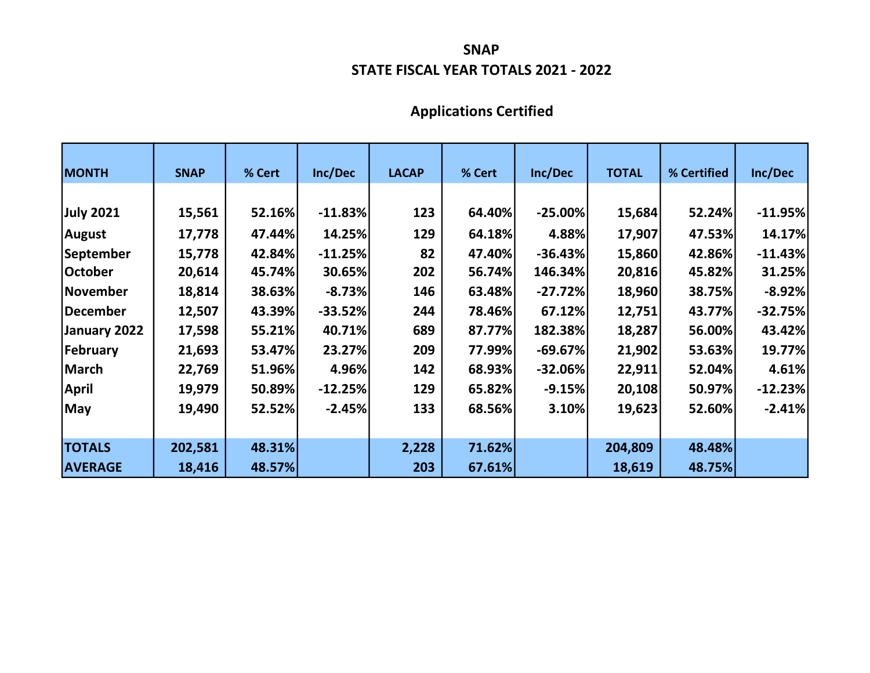#### STATE FISCAL YEAR TOTALS 2021 - 2022 SNAP

# Applications Certified

| <b>MONTH</b>    | <b>SNAP</b> | % Cert | Inc/Dec   | <b>LACAP</b> | % Cert | Inc/Dec   | <b>TOTAL</b> | % Certified | Inc/Dec   |
|-----------------|-------------|--------|-----------|--------------|--------|-----------|--------------|-------------|-----------|
|                 |             |        |           |              |        |           |              |             |           |
| July 2021       | 15,561      | 52.16% | $-11.83%$ | 123          | 64.40% | $-25.00%$ | 15,684       | 52.24%      | $-11.95%$ |
| <b>August</b>   | 17,778      | 47.44% | 14.25%    | 129          | 64.18% | 4.88%     | 17,907       | 47.53%      | 14.17%    |
| September       | 15,778      | 42.84% | $-11.25%$ | 82           | 47.40% | $-36.43%$ | 15,860       | 42.86%      | $-11.43%$ |
| October         | 20,614      | 45.74% | 30.65%    | 202          | 56.74% | 146.34%   | 20,816       | 45.82%      | 31.25%    |
| <b>November</b> | 18,814      | 38.63% | $-8.73%$  | 146          | 63.48% | $-27.72%$ | 18,960       | 38.75%      | $-8.92%$  |
| December        | 12,507      | 43.39% | $-33.52%$ | 244          | 78.46% | 67.12%    | 12,751       | 43.77%      | $-32.75%$ |
| January 2022    | 17,598      | 55.21% | 40.71%    | 689          | 87.77% | 182.38%   | 18,287       | 56.00%      | 43.42%    |
| <b>February</b> | 21,693      | 53.47% | 23.27%    | 209          | 77.99% | $-69.67%$ | 21,902       | 53.63%      | 19.77%    |
| <b>March</b>    | 22,769      | 51.96% | 4.96%     | 142          | 68.93% | $-32.06%$ | 22,911       | 52.04%      | 4.61%     |
| April           | 19,979      | 50.89% | $-12.25%$ | 129          | 65.82% | $-9.15%$  | 20,108       | 50.97%      | $-12.23%$ |
| May             | 19,490      | 52.52% | $-2.45%$  | 133          | 68.56% | 3.10%     | 19,623       | 52.60%      | $-2.41%$  |
|                 |             |        |           |              |        |           |              |             |           |
| <b>TOTALS</b>   | 202,581     | 48.31% |           | 2,228        | 71.62% |           | 204,809      | 48.48%      |           |
| <b>AVERAGE</b>  | 18,416      | 48.57% |           | 203          | 67.61% |           | 18,619       | 48.75%      |           |